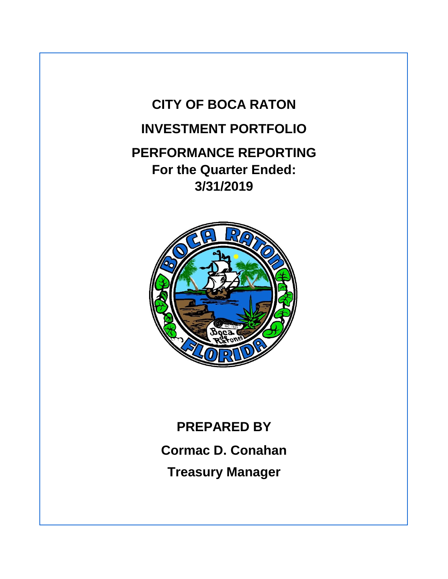



# **PREPARED BY Cormac D. Conahan Treasury Manager**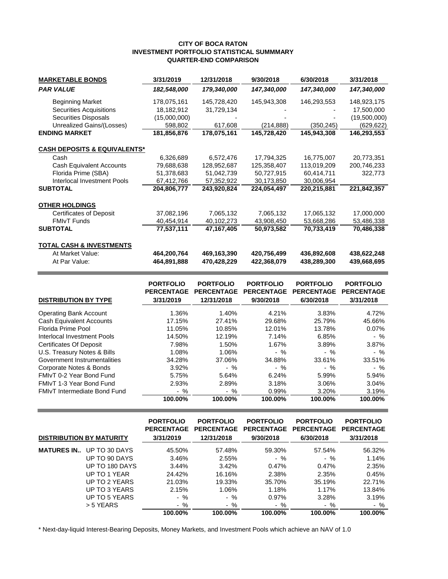#### **CITY OF BOCA RATON INVESTMENT PORTFOLIO STATISTICAL SUMMMARY QUARTER-END COMPARISON**

| <b>MARKETABLE BONDS</b>                 | 3/31/2019    | 12/31/2018  | 9/30/2018   | 6/30/2018   | 3/31/2018    |
|-----------------------------------------|--------------|-------------|-------------|-------------|--------------|
| <b>PAR VALUE</b>                        | 182,548,000  | 179,340,000 | 147,340,000 | 147,340,000 | 147,340,000  |
| <b>Beginning Market</b>                 | 178,075,161  | 145,728,420 | 145,943,308 | 146,293,553 | 148,923,175  |
| <b>Securities Acquisitions</b>          | 18,182,912   | 31,729,134  |             |             | 17,500,000   |
| <b>Securities Disposals</b>             | (15,000,000) |             |             |             | (19,500,000) |
| Unrealized Gains/(Losses)               | 598,802      | 617,608     | (214, 888)  | (350,245)   | (629, 622)   |
| <b>ENDING MARKET</b>                    | 181,856,876  | 178,075,161 | 145,728,420 | 145,943,308 | 146,293,553  |
| <b>CASH DEPOSITS &amp; EQUIVALENTS*</b> |              |             |             |             |              |
| Cash                                    | 6,326,689    | 6,572,476   | 17,794,325  | 16,775,007  | 20,773,351   |
| Cash Equivalent Accounts                | 79,688,638   | 128,952,687 | 125,358,407 | 113,019,209 | 200,746,233  |
| Florida Prime (SBA)                     | 51,378,683   | 51,042,739  | 50,727,915  | 60,414,711  | 322,773      |
| Interlocal Investment Pools             | 67,412,766   | 57,352,922  | 30,173,850  | 30,006,954  |              |
| <b>SUBTOTAL</b>                         | 204,806,777  | 243,920,824 | 224,054,497 | 220,215,881 | 221,842,357  |
| <b>OTHER HOLDINGS</b>                   |              |             |             |             |              |
| <b>Certificates of Deposit</b>          | 37,082,196   | 7,065,132   | 7,065,132   | 17,065,132  | 17,000,000   |
| <b>FMIvT Funds</b>                      | 40,454,914   | 40,102,273  | 43,908,450  | 53,668,286  | 53,486,338   |
| <b>SUBTOTAL</b>                         | 77,537,111   | 47,167,405  | 50,973,582  | 70,733,419  | 70,486,338   |
| <b>TOTAL CASH &amp; INVESTMENTS</b>     |              |             |             |             |              |
| At Market Value:                        | 464,200,764  | 469,163,390 | 420,756,499 | 436,892,608 | 438,622,248  |
| At Par Value:                           | 464,891,888  | 470,428,229 | 422,368,079 | 438,289,300 | 439,668,695  |

| <b>DISTRIBUTION BY TYPE</b>         | <b>PORTFOLIO</b><br><b>PERCENTAGE</b><br>3/31/2019 | <b>PORTFOLIO</b><br><b>PERCENTAGE</b><br>12/31/2018 | <b>PORTFOLIO</b><br><b>PERCENTAGE</b><br>9/30/2018 | <b>PORTFOLIO</b><br><b>PERCENTAGE</b><br>6/30/2018 | <b>PORTFOLIO</b><br><b>PERCENTAGE</b><br>3/31/2018 |
|-------------------------------------|----------------------------------------------------|-----------------------------------------------------|----------------------------------------------------|----------------------------------------------------|----------------------------------------------------|
| <b>Operating Bank Account</b>       | 1.36%                                              | 1.40%                                               | 4.21%                                              | 3.83%                                              | 4.72%                                              |
| <b>Cash Equivalent Accounts</b>     | 17.15%                                             | 27.41%                                              | 29.68%                                             | 25.79%                                             | 45.66%                                             |
| Florida Prime Pool                  | 11.05%                                             | 10.85%                                              | 12.01%                                             | 13.78%                                             | 0.07%                                              |
| Interlocal Investment Pools         | 14.50%                                             | 12.19%                                              | 7.14%                                              | 6.85%                                              | $-$ %                                              |
| <b>Certificates Of Deposit</b>      | 7.98%                                              | 1.50%                                               | 1.67%                                              | 3.89%                                              | 3.87%                                              |
| U.S. Treasury Notes & Bills         | 1.08%                                              | 1.06%                                               | $-$ %                                              | $-$ %                                              | $-$ %                                              |
| Government Instrumentalities        | 34.28%                                             | 37.06%                                              | 34.88%                                             | 33.61%                                             | 33.51%                                             |
| Corporate Notes & Bonds             | 3.92%                                              | $-$ %                                               | $-$ %                                              | $-$ %                                              | $-$ %                                              |
| FMIvT 0-2 Year Bond Fund            | 5.75%                                              | 5.64%                                               | 6.24%                                              | 5.99%                                              | 5.94%                                              |
| FMIvT 1-3 Year Bond Fund            | 2.93%                                              | 2.89%                                               | 3.18%                                              | 3.06%                                              | 3.04%                                              |
| <b>FMIvT Intermediate Bond Fund</b> | $-$ %                                              | - %                                                 | 0.99%                                              | 3.20%                                              | 3.19%                                              |
|                                     | 100.00%                                            | 100.00%                                             | 100.00%                                            | 100.00%                                            | 100.00%                                            |

| <b>DISTRIBUTION BY MATURITY</b> |                                 | <b>PORTFOLIO</b><br><b>PERCENTAGE</b><br>3/31/2019 | <b>PORTFOLIO</b><br><b>PERCENTAGE</b><br>12/31/2018 | <b>PORTFOLIO</b><br><b>PERCENTAGE</b><br>9/30/2018 | <b>PORTFOLIO</b><br><b>PERCENTAGE</b><br>6/30/2018 | <b>PORTFOLIO</b><br><b>PERCENTAGE</b><br>3/31/2018 |
|---------------------------------|---------------------------------|----------------------------------------------------|-----------------------------------------------------|----------------------------------------------------|----------------------------------------------------|----------------------------------------------------|
|                                 | <b>MATURES IN</b> UP TO 30 DAYS | 45.50%                                             | 57.48%                                              | 59.30%                                             | 57.54%                                             | 56.32%                                             |
|                                 | UP TO 90 DAYS                   | 3.46%                                              | 2.55%                                               | $-$ %                                              | $-$ %                                              | 1.14%                                              |
|                                 | UP TO 180 DAYS                  | 3.44%                                              | 3.42%                                               | 0.47%                                              | 0.47%                                              | 2.35%                                              |
|                                 | UP TO 1 YEAR                    | 24.42%                                             | 16.16%                                              | 2.38%                                              | 2.35%                                              | 0.45%                                              |
|                                 | UP TO 2 YEARS                   | 21.03%                                             | 19.33%                                              | 35.70%                                             | 35.19%                                             | 22.71%                                             |
|                                 | UP TO 3 YEARS                   | 2.15%                                              | 1.06%                                               | 1.18%                                              | 1.17%                                              | 13.84%                                             |
|                                 | UP TO 5 YEARS                   | - %                                                | $-$ %                                               | 0.97%                                              | 3.28%                                              | 3.19%                                              |
|                                 | > 5 YEARS                       | $-$ %                                              | $-$ %                                               | $-$ %                                              | $-$ %                                              | $-$ %                                              |
|                                 |                                 | 100.00%                                            | 100.00%                                             | 100.00%                                            | 100.00%                                            | 100.00%                                            |

\* Next-day-liquid Interest-Bearing Deposits, Money Markets, and Investment Pools which achieve an NAV of 1.0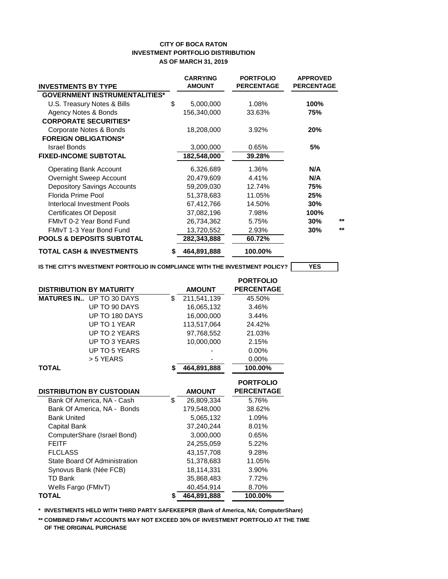#### **CITY OF BOCA RATON INVESTMENT PORTFOLIO DISTRIBUTION AS OF MARCH 31, 2019**

| <b>INVESTMENTS BY TYPE</b>           |    | <b>CARRYING</b><br><b>AMOUNT</b> | <b>PORTFOLIO</b><br><b>PERCENTAGE</b> | <b>APPROVED</b><br><b>PERCENTAGE</b> |
|--------------------------------------|----|----------------------------------|---------------------------------------|--------------------------------------|
| <b>GOVERNMENT INSTRUMENTALITIES*</b> |    |                                  |                                       |                                      |
| U.S. Treasury Notes & Bills          | \$ | 5,000,000                        | 1.08%                                 | 100%                                 |
| Agency Notes & Bonds                 |    | 156,340,000                      | 33.63%                                | 75%                                  |
| <b>CORPORATE SECURITIES*</b>         |    |                                  |                                       |                                      |
| Corporate Notes & Bonds              |    | 18,208,000                       | 3.92%                                 | 20%                                  |
| <b>FOREIGN OBLIGATIONS*</b>          |    |                                  |                                       |                                      |
| Israel Bonds                         |    | 3,000,000                        | 0.65%                                 | 5%                                   |
| <b>FIXED-INCOME SUBTOTAL</b>         |    | 182,548,000                      | 39.28%                                |                                      |
| <b>Operating Bank Account</b>        |    | 6,326,689                        | 1.36%                                 | N/A                                  |
| Overnight Sweep Account              |    | 20,479,609                       | 4.41%                                 | N/A                                  |
| <b>Depository Savings Accounts</b>   |    | 59,209,030                       | 12.74%                                | 75%                                  |
| Florida Prime Pool                   |    | 51,378,683                       | 11.05%                                | 25%                                  |
| Interlocal Investment Pools          |    | 67,412,766                       | 14.50%                                | 30%                                  |
| <b>Certificates Of Deposit</b>       |    | 37,082,196                       | 7.98%                                 | 100%                                 |
| FMIvT 0-2 Year Bond Fund             |    | 26,734,362                       | 5.75%                                 | $***$<br>30%                         |
| FMIvT 1-3 Year Bond Fund             |    | 13,720,552                       | 2.93%                                 | $**$<br>30%                          |
| <b>POOLS &amp; DEPOSITS SUBTOTAL</b> |    | 282,343,888                      | 60.72%                                |                                      |
| <b>TOTAL CASH &amp; INVESTMENTS</b>  | S  | 464,891,888                      | 100.00%                               |                                      |

**IS THE CITY'S INVESTMENT PORTFOLIO IN COMPLIANCE WITH THE INVESTMENT POLICY? YES**

|                                  |    |               | <b>PORTFOLIO</b>  |
|----------------------------------|----|---------------|-------------------|
| <b>DISTRIBUTION BY MATURITY</b>  |    | <b>AMOUNT</b> | <b>PERCENTAGE</b> |
| <b>MATURES IN</b> UP TO 30 DAYS  | \$ | 211,541,139   | 45.50%            |
| UP TO 90 DAYS                    |    | 16,065,132    | 3.46%             |
| UP TO 180 DAYS                   |    | 16,000,000    | 3.44%             |
| UP TO 1 YEAR                     |    | 113,517,064   | 24.42%            |
| UP TO 2 YEARS                    |    | 97,768,552    | 21.03%            |
| UP TO 3 YEARS                    |    | 10,000,000    | 2.15%             |
| UP TO 5 YEARS                    |    |               | 0.00%             |
| > 5 YEARS                        |    |               | 0.00%             |
| <b>TOTAL</b>                     | S  | 464,891,888   | 100.00%           |
|                                  |    |               |                   |
|                                  |    |               | <b>PORTFOLIO</b>  |
| <b>DISTRIBUTION BY CUSTODIAN</b> |    | <b>AMOUNT</b> | <b>PERCENTAGE</b> |
| Bank Of America, NA - Cash       | \$ | 26,809,334    | 5.76%             |
| Bank Of America, NA - Bonds      |    | 179,548,000   | 38.62%            |
| <b>Bank United</b>               |    | 5,065,132     | 1.09%             |
| Capital Bank                     |    | 37,240,244    | 8.01%             |
| ComputerShare (Israel Bond)      |    | 3,000,000     | 0.65%             |
| <b>FEITF</b>                     |    | 24,255,059    | 5.22%             |
| <b>FLCLASS</b>                   |    | 43,157,708    | 9.28%             |
| State Board Of Administration    |    | 51,378,683    | 11.05%            |
| Synovus Bank (Née FCB)           |    | 18,114,331    | 3.90%             |
| <b>TD Bank</b>                   |    | 35,868,483    | 7.72%             |
| Wells Fargo (FMIvT)              |    | 40,454,914    | 8.70%             |
| <b>TOTAL</b>                     | \$ | 464,891,888   | 100.00%           |

**\*\* INVESTMENTS HELD WITH THIRD PARTY SAFEKEEPER (Bank of America, NA; ComputerShare)**

**\*\* COMBINED FMIvT ACCOUNTS MAY NOT EXCEED 30% OF INVESTMENT PORTFOLIO AT THE TIME OF THE ORIGINAL PURCHASE**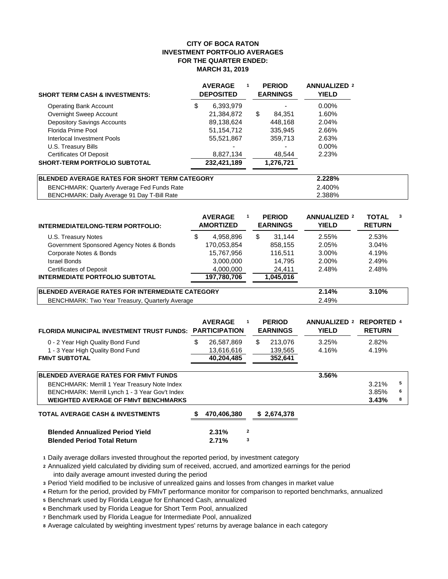#### **CITY OF BOCA RATON INVESTMENT PORTFOLIO AVERAGES FOR THE QUARTER ENDED: MARCH 31, 2019**

| <b>SHORT TERM CASH &amp; INVESTMENTS:</b> | <b>AVERAGE</b><br><b>DEPOSITED</b> |   | <b>PERIOD</b><br><b>EARNINGS</b> | <b>ANNUALIZED 2</b><br><b>YIELD</b> |
|-------------------------------------------|------------------------------------|---|----------------------------------|-------------------------------------|
| <b>Operating Bank Account</b>             | \$<br>6,393,979                    |   |                                  | $0.00\%$                            |
| Overnight Sweep Account                   | 21,384,872                         | S | 84.351                           | 1.60%                               |
| <b>Depository Savings Accounts</b>        | 89,138,624                         |   | 448.168                          | 2.04%                               |
| Florida Prime Pool                        | 51,154,712                         |   | 335,945                          | 2.66%                               |
| Interlocal Investment Pools               | 55,521,867                         |   | 359.713                          | 2.63%                               |
| U.S. Treasury Bills                       |                                    |   |                                  | $0.00\%$                            |
| <b>Certificates Of Deposit</b>            | 8,827,134                          |   | 48,544                           | 2.23%                               |
| <b>SHORT-TERM PORTFOLIO SUBTOTAL</b>      | 232,421,189                        |   | 1,276,721                        |                                     |
|                                           |                                    |   |                                  |                                     |

| BLENDED AVERAGE RATES FOR SHORT TERM CATEGORY      | 2.228% |
|----------------------------------------------------|--------|
| <b>BENCHMARK: Quarterly Average Fed Funds Rate</b> | 2.400% |
| BENCHMARK: Daily Average 91 Day T-Bill Rate        | 2.388% |

| INTERMEDIATE/LONG-TERM PORTFOLIO:                       | <b>AVERAGE</b><br><b>AMORTIZED</b> |       | <b>PERIOD</b><br><b>EARNINGS</b> | <b>ANNUALIZED 2</b><br><b>YIELD</b> | <b>TOTAL</b><br><b>RETURN</b> | 3 |
|---------------------------------------------------------|------------------------------------|-------|----------------------------------|-------------------------------------|-------------------------------|---|
| U.S. Treasury Notes                                     | \$<br>4,958,896                    | S     | 31.144                           | 2.55%                               | 2.53%                         |   |
| Government Sponsored Agency Notes & Bonds               | 170,053,854                        |       | 858,155                          | 2.05%                               | 3.04%                         |   |
| Corporate Notes & Bonds                                 | 15,767,956                         |       | 116.511                          | 3.00%                               | 4.19%                         |   |
| <b>Israel Bonds</b>                                     | 3,000,000                          |       | 14.795                           | 2.00%                               | 2.49%                         |   |
| <b>Certificates of Deposit</b>                          | 4,000,000                          |       | 24,411                           | 2.48%                               | 2.48%                         |   |
| <b>INTERMEDIATE PORTFOLIO SUBTOTAL</b>                  | 197,780,706                        |       | 1,045,016                        |                                     |                               |   |
| <b>IBLENDED AVERAGE RATES FOR INTERMEDIATE CATEGORY</b> | 2.14%                              | 3.10% |                                  |                                     |                               |   |

BENCHMARK: Two Year Treasury, Quarterly Average 2.49%

| <b>FLORIDA MUNICIPAL INVESTMENT TRUST FUNDS:</b>                                                                                                                                                | <b>AVERAGE</b><br>1<br><b>PARTICIPATION</b>  | <b>PERIOD</b><br><b>EARNINGS</b>    | <b>ANNUALIZED 2</b><br><b>YIELD</b> | <b>REPORTED 4</b><br><b>RETURN</b> |             |
|-------------------------------------------------------------------------------------------------------------------------------------------------------------------------------------------------|----------------------------------------------|-------------------------------------|-------------------------------------|------------------------------------|-------------|
| 0 - 2 Year High Quality Bond Fund<br>1 - 3 Year High Quality Bond Fund<br><b>FMIVT SUBTOTAL</b>                                                                                                 | \$<br>26,587,869<br>13,616,616<br>40,204,485 | \$<br>213.076<br>139,565<br>352,641 | 3.25%<br>4.16%                      | 2.82%<br>4.19%                     |             |
| <b>BLENDED AVERAGE RATES FOR FMIVT FUNDS</b><br>BENCHMARK: Merrill 1 Year Treasury Note Index<br>BENCHMARK: Merrill Lynch 1 - 3 Year Gov't Index<br><b>WEIGHTED AVERAGE OF FMIVT BENCHMARKS</b> |                                              |                                     | 3.56%                               | 3.21%<br>3.85%<br>3.43%            | 5<br>6<br>8 |
| <b>TOTAL AVERAGE CASH &amp; INVESTMENTS</b><br><b>Blended Annualized Period Yield</b>                                                                                                           | 470,406,380<br>2<br>2.31%                    | \$2,674,378                         |                                     |                                    |             |

**<sup>1</sup>** Daily average dollars invested throughout the reported period, by investment category

**<sup>2</sup>** Annualized yield calculated by dividing sum of received, accrued, and amortized earnings for the period into daily average amount invested during the period

**<sup>3</sup>** Period Yield modified to be inclusive of unrealized gains and losses from changes in market value

**<sup>4</sup>** Return for the period, provided by FMIvT performance monitor for comparison to reported benchmarks, annualized

**<sup>5</sup>** Benchmark used by Florida League for Enhanced Cash, annualized

**Blended Period Total Return 2.71% <sup>3</sup>**

**<sup>6</sup>** Benchmark used by Florida League for Short Term Pool, annualized

**<sup>7</sup>** Benchmark used by Florida League for Intermediate Pool, annualized

**<sup>8</sup>** Average calculated by weighting investment types' returns by average balance in each category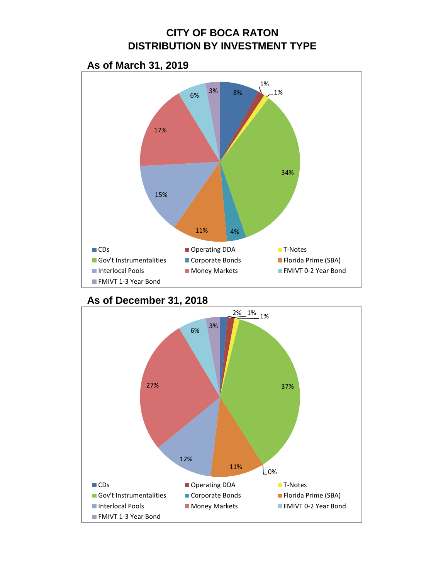## **CITY OF BOCA RATON DISTRIBUTION BY INVESTMENT TYPE**

# **As of March 31, 2019**





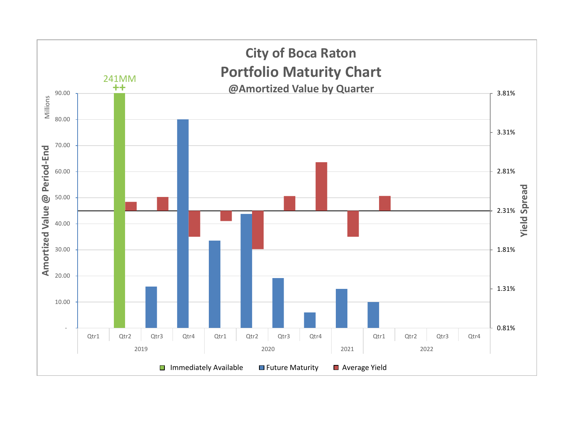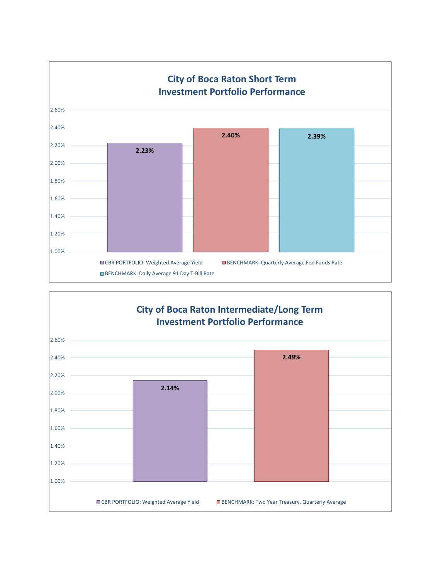

### **City of Boca Raton Intermediate/Long Term Investment Portfolio Performance**